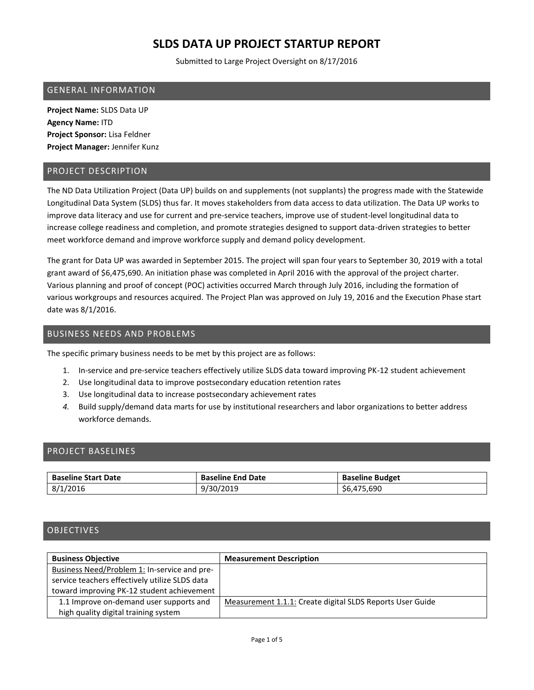Submitted to Large Project Oversight on 8/17/2016

#### GENERAL INFORMATION

**Project Name:** SLDS Data UP **Agency Name:** ITD **Project Sponsor:** Lisa Feldner **Project Manager:** Jennifer Kunz

### PROJECT DESCRIPTION

The ND Data Utilization Project (Data UP) builds on and supplements (not supplants) the progress made with the Statewide Longitudinal Data System (SLDS) thus far. It moves stakeholders from data access to data utilization. The Data UP works to improve data literacy and use for current and pre-service teachers, improve use of student-level longitudinal data to increase college readiness and completion, and promote strategies designed to support data-driven strategies to better meet workforce demand and improve workforce supply and demand policy development.

The grant for Data UP was awarded in September 2015. The project will span four years to September 30, 2019 with a total grant award of \$6,475,690. An initiation phase was completed in April 2016 with the approval of the project charter. Various planning and proof of concept (POC) activities occurred March through July 2016, including the formation of various workgroups and resources acquired. The Project Plan was approved on July 19, 2016 and the Execution Phase start date was 8/1/2016.

### BUSINESS NEEDS AND PROBLEMS

The specific primary business needs to be met by this project are as follows:

- 1. In-service and pre-service teachers effectively utilize SLDS data toward improving PK-12 student achievement
- 2. Use longitudinal data to improve postsecondary education retention rates
- 3. Use longitudinal data to increase postsecondary achievement rates
- *4.* Build supply/demand data marts for use by institutional researchers and labor organizations to better address workforce demands.

### PROJECT BASELINES

| <b>Baseline Start Date</b> | <b>Baseline End Date</b> | <b>Baseline Budget</b> |
|----------------------------|--------------------------|------------------------|
| 8/1/2016                   | 9/30/2019                | .690<br>56.475         |

## **OBJECTIVES**

| <b>Business Objective</b>                      | <b>Measurement Description</b>                            |
|------------------------------------------------|-----------------------------------------------------------|
| Business Need/Problem 1: In-service and pre-   |                                                           |
| service teachers effectively utilize SLDS data |                                                           |
| toward improving PK-12 student achievement     |                                                           |
| 1.1 Improve on-demand user supports and        | Measurement 1.1.1: Create digital SLDS Reports User Guide |
| high quality digital training system           |                                                           |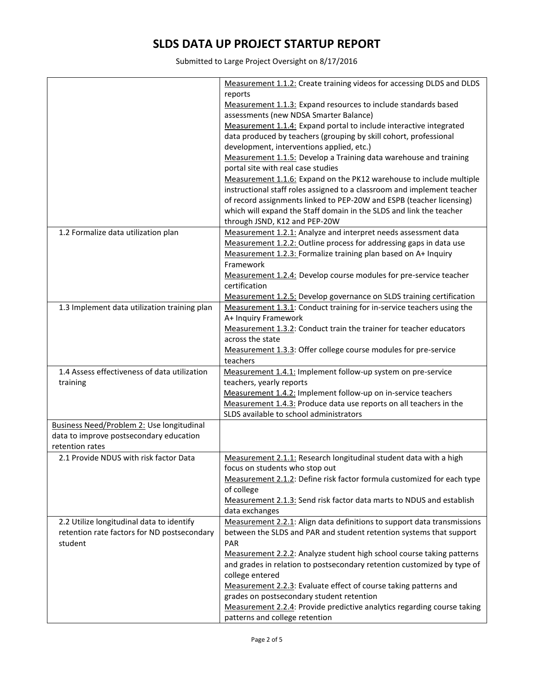Submitted to Large Project Oversight on 8/17/2016

|                                                  | Measurement 1.1.2: Create training videos for accessing DLDS and DLDS   |
|--------------------------------------------------|-------------------------------------------------------------------------|
|                                                  |                                                                         |
|                                                  | reports                                                                 |
|                                                  | Measurement 1.1.3: Expand resources to include standards based          |
|                                                  | assessments (new NDSA Smarter Balance)                                  |
|                                                  | Measurement 1.1.4: Expand portal to include interactive integrated      |
|                                                  | data produced by teachers (grouping by skill cohort, professional       |
|                                                  | development, interventions applied, etc.)                               |
|                                                  | Measurement 1.1.5: Develop a Training data warehouse and training       |
|                                                  | portal site with real case studies                                      |
|                                                  | Measurement 1.1.6: Expand on the PK12 warehouse to include multiple     |
|                                                  | instructional staff roles assigned to a classroom and implement teacher |
|                                                  | of record assignments linked to PEP-20W and ESPB (teacher licensing)    |
|                                                  | which will expand the Staff domain in the SLDS and link the teacher     |
|                                                  | through JSND, K12 and PEP-20W                                           |
| 1.2 Formalize data utilization plan              | Measurement 1.2.1: Analyze and interpret needs assessment data          |
|                                                  |                                                                         |
|                                                  | Measurement 1.2.2: Outline process for addressing gaps in data use      |
|                                                  | Measurement 1.2.3: Formalize training plan based on A+ Inquiry          |
|                                                  | Framework                                                               |
|                                                  | Measurement 1.2.4: Develop course modules for pre-service teacher       |
|                                                  | certification                                                           |
|                                                  | Measurement 1.2.5: Develop governance on SLDS training certification    |
| 1.3 Implement data utilization training plan     | Measurement 1.3.1: Conduct training for in-service teachers using the   |
|                                                  | A+ Inquiry Framework                                                    |
|                                                  | Measurement 1.3.2: Conduct train the trainer for teacher educators      |
|                                                  | across the state                                                        |
|                                                  | Measurement 1.3.3: Offer college course modules for pre-service         |
|                                                  | teachers                                                                |
| 1.4 Assess effectiveness of data utilization     | Measurement 1.4.1: Implement follow-up system on pre-service            |
|                                                  |                                                                         |
| training                                         | teachers, yearly reports                                                |
|                                                  | Measurement 1.4.2: Implement follow-up on in-service teachers           |
|                                                  | Measurement 1.4.3: Produce data use reports on all teachers in the      |
|                                                  | SLDS available to school administrators                                 |
| <b>Business Need/Problem 2: Use longitudinal</b> |                                                                         |
| data to improve postsecondary education          |                                                                         |
| retention rates                                  |                                                                         |
| 2.1 Provide NDUS with risk factor Data           | Measurement 2.1.1: Research longitudinal student data with a high       |
|                                                  | focus on students who stop out                                          |
|                                                  | Measurement 2.1.2: Define risk factor formula customized for each type  |
|                                                  | of college                                                              |
|                                                  | Measurement 2.1.3: Send risk factor data marts to NDUS and establish    |
|                                                  |                                                                         |
|                                                  | data exchanges                                                          |
| 2.2 Utilize longitudinal data to identify        | Measurement 2.2.1: Align data definitions to support data transmissions |
| retention rate factors for ND postsecondary      | between the SLDS and PAR and student retention systems that support     |
| student                                          | <b>PAR</b>                                                              |
|                                                  | Measurement 2.2.2: Analyze student high school course taking patterns   |
|                                                  | and grades in relation to postsecondary retention customized by type of |
|                                                  | college entered                                                         |
|                                                  | Measurement 2.2.3: Evaluate effect of course taking patterns and        |
|                                                  | grades on postsecondary student retention                               |
|                                                  | Measurement 2.2.4: Provide predictive analytics regarding course taking |
|                                                  | patterns and college retention                                          |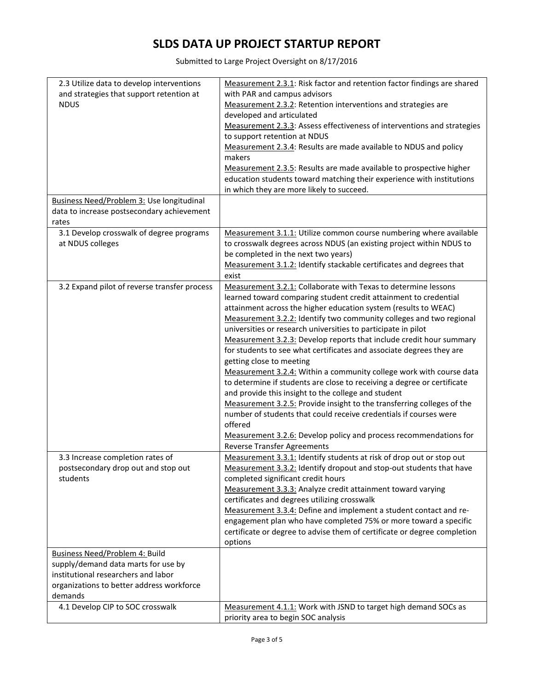Submitted to Large Project Oversight on 8/17/2016

| 2.3 Utilize data to develop interventions    | Measurement 2.3.1: Risk factor and retention factor findings are shared    |
|----------------------------------------------|----------------------------------------------------------------------------|
| and strategies that support retention at     | with PAR and campus advisors                                               |
| <b>NDUS</b>                                  | Measurement 2.3.2: Retention interventions and strategies are              |
|                                              | developed and articulated                                                  |
|                                              | Measurement 2.3.3: Assess effectiveness of interventions and strategies    |
|                                              | to support retention at NDUS                                               |
|                                              | Measurement 2.3.4: Results are made available to NDUS and policy<br>makers |
|                                              | Measurement 2.3.5: Results are made available to prospective higher        |
|                                              | education students toward matching their experience with institutions      |
|                                              | in which they are more likely to succeed.                                  |
| Business Need/Problem 3: Use longitudinal    |                                                                            |
| data to increase postsecondary achievement   |                                                                            |
| rates                                        |                                                                            |
| 3.1 Develop crosswalk of degree programs     | Measurement 3.1.1: Utilize common course numbering where available         |
| at NDUS colleges                             | to crosswalk degrees across NDUS (an existing project within NDUS to       |
|                                              | be completed in the next two years)                                        |
|                                              | Measurement 3.1.2: Identify stackable certificates and degrees that        |
|                                              | exist                                                                      |
| 3.2 Expand pilot of reverse transfer process | Measurement 3.2.1: Collaborate with Texas to determine lessons             |
|                                              | learned toward comparing student credit attainment to credential           |
|                                              | attainment across the higher education system (results to WEAC)            |
|                                              | Measurement 3.2.2: Identify two community colleges and two regional        |
|                                              | universities or research universities to participate in pilot              |
|                                              | Measurement 3.2.3: Develop reports that include credit hour summary        |
|                                              | for students to see what certificates and associate degrees they are       |
|                                              | getting close to meeting                                                   |
|                                              | Measurement 3.2.4: Within a community college work with course data        |
|                                              | to determine if students are close to receiving a degree or certificate    |
|                                              | and provide this insight to the college and student                        |
|                                              | Measurement 3.2.5: Provide insight to the transferring colleges of the     |
|                                              | number of students that could receive credentials if courses were          |
|                                              | offered                                                                    |
|                                              | Measurement 3.2.6: Develop policy and process recommendations for          |
|                                              | <b>Reverse Transfer Agreements</b>                                         |
| 3.3 Increase completion rates of             | Measurement 3.3.1: Identify students at risk of drop out or stop out       |
| postsecondary drop out and stop out          | Measurement 3.3.2: Identify dropout and stop-out students that have        |
| students                                     | completed significant credit hours                                         |
|                                              | Measurement 3.3.3: Analyze credit attainment toward varying                |
|                                              | certificates and degrees utilizing crosswalk                               |
|                                              | Measurement 3.3.4: Define and implement a student contact and re-          |
|                                              | engagement plan who have completed 75% or more toward a specific           |
|                                              | certificate or degree to advise them of certificate or degree completion   |
|                                              | options                                                                    |
| Business Need/Problem 4: Build               |                                                                            |
| supply/demand data marts for use by          |                                                                            |
| institutional researchers and labor          |                                                                            |
| organizations to better address workforce    |                                                                            |
| demands                                      |                                                                            |
| 4.1 Develop CIP to SOC crosswalk             | Measurement 4.1.1: Work with JSND to target high demand SOCs as            |
|                                              | priority area to begin SOC analysis                                        |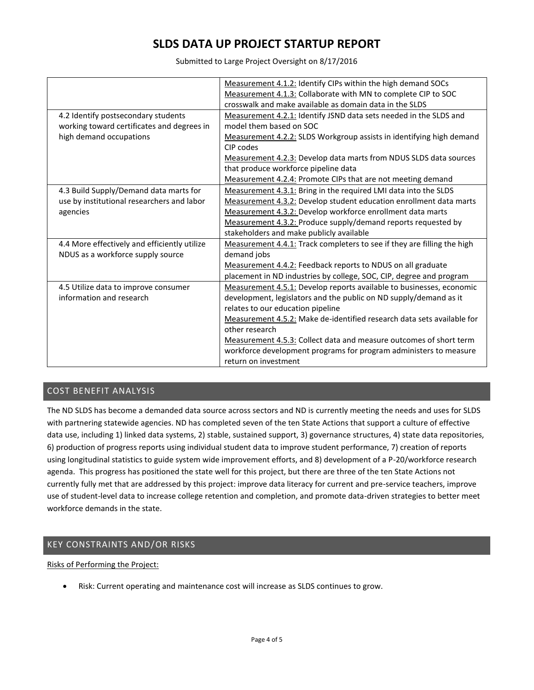Submitted to Large Project Oversight on 8/17/2016

|                                              | Measurement 4.1.2: Identify CIPs within the high demand SOCs            |
|----------------------------------------------|-------------------------------------------------------------------------|
|                                              | Measurement 4.1.3: Collaborate with MN to complete CIP to SOC           |
|                                              | crosswalk and make available as domain data in the SLDS                 |
| 4.2 Identify postsecondary students          | Measurement 4.2.1: Identify JSND data sets needed in the SLDS and       |
| working toward certificates and degrees in   | model them based on SOC                                                 |
| high demand occupations                      | Measurement 4.2.2: SLDS Workgroup assists in identifying high demand    |
|                                              | CIP codes                                                               |
|                                              | Measurement 4.2.3: Develop data marts from NDUS SLDS data sources       |
|                                              | that produce workforce pipeline data                                    |
|                                              | Measurement 4.2.4: Promote CIPs that are not meeting demand             |
| 4.3 Build Supply/Demand data marts for       | Measurement 4.3.1: Bring in the required LMI data into the SLDS         |
| use by institutional researchers and labor   | Measurement 4.3.2: Develop student education enrollment data marts      |
| agencies                                     | Measurement 4.3.2: Develop workforce enrollment data marts              |
|                                              | Measurement 4.3.2: Produce supply/demand reports requested by           |
|                                              | stakeholders and make publicly available                                |
| 4.4 More effectively and efficiently utilize | Measurement 4.4.1: Track completers to see if they are filling the high |
| NDUS as a workforce supply source            | demand jobs                                                             |
|                                              | Measurement 4.4.2: Feedback reports to NDUS on all graduate             |
|                                              | placement in ND industries by college, SOC, CIP, degree and program     |
| 4.5 Utilize data to improve consumer         | Measurement 4.5.1: Develop reports available to businesses, economic    |
| information and research                     | development, legislators and the public on ND supply/demand as it       |
|                                              | relates to our education pipeline                                       |
|                                              | Measurement 4.5.2: Make de-identified research data sets available for  |
|                                              | other research                                                          |
|                                              | Measurement 4.5.3: Collect data and measure outcomes of short term      |
|                                              | workforce development programs for program administers to measure       |
|                                              | return on investment                                                    |

## COST BENEFIT ANALYSIS

The ND SLDS has become a demanded data source across sectors and ND is currently meeting the needs and uses for SLDS with partnering statewide agencies. ND has completed seven of the ten State Actions that support a culture of effective data use, including 1) linked data systems, 2) stable, sustained support, 3) governance structures, 4) state data repositories, 6) production of progress reports using individual student data to improve student performance, 7) creation of reports using longitudinal statistics to guide system wide improvement efforts, and 8) development of a P-20/workforce research agenda. This progress has positioned the state well for this project, but there are three of the ten State Actions not currently fully met that are addressed by this project: improve data literacy for current and pre-service teachers, improve use of student-level data to increase college retention and completion, and promote data-driven strategies to better meet workforce demands in the state.

### KEY CONSTRAINTS AND/OR RISKS

Risks of Performing the Project:

• Risk: Current operating and maintenance cost will increase as SLDS continues to grow.